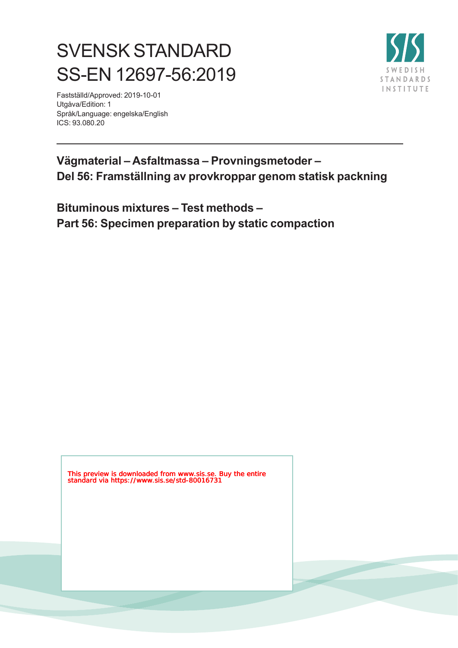# SVENSK STANDARD SS-EN 12697-56:2019



Fastställd/Approved: 2019-10-01 Utgåva/Edition: 1 Språk/Language: engelska/English ICS: 93.080.20

# **Vägmaterial – Asfaltmassa – Provningsmetoder – Del 56: Framställning av provkroppar genom statisk packning**

**Bituminous mixtures – Test methods – Part 56: Specimen preparation by static compaction**

This preview is downloaded from www.sis.se. Buy the entire standard via https://www.sis.se/std-80016731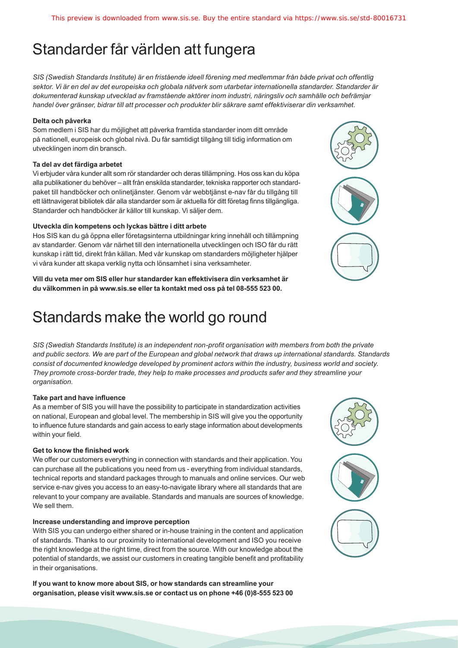# Standarder får världen att fungera

*SIS (Swedish Standards Institute) är en fristående ideell förening med medlemmar från både privat och offentlig sektor. Vi är en del av det europeiska och globala nätverk som utarbetar internationella standarder. Standarder är dokumenterad kunskap utvecklad av framstående aktörer inom industri, näringsliv och samhälle och befrämjar handel över gränser, bidrar till att processer och produkter blir säkrare samt effektiviserar din verksamhet.* 

#### **Delta och påverka**

Som medlem i SIS har du möjlighet att påverka framtida standarder inom ditt område på nationell, europeisk och global nivå. Du får samtidigt tillgång till tidig information om utvecklingen inom din bransch.

### **Ta del av det färdiga arbetet**

Vi erbjuder våra kunder allt som rör standarder och deras tillämpning. Hos oss kan du köpa alla publikationer du behöver – allt från enskilda standarder, tekniska rapporter och standardpaket till handböcker och onlinetjänster. Genom vår webbtjänst e-nav får du tillgång till ett lättnavigerat bibliotek där alla standarder som är aktuella för ditt företag finns tillgängliga. Standarder och handböcker är källor till kunskap. Vi säljer dem.

#### **Utveckla din kompetens och lyckas bättre i ditt arbete**

Hos SIS kan du gå öppna eller företagsinterna utbildningar kring innehåll och tillämpning av standarder. Genom vår närhet till den internationella utvecklingen och ISO får du rätt kunskap i rätt tid, direkt från källan. Med vår kunskap om standarders möjligheter hjälper vi våra kunder att skapa verklig nytta och lönsamhet i sina verksamheter.

**Vill du veta mer om SIS eller hur standarder kan effektivisera din verksamhet är du välkommen in på www.sis.se eller ta kontakt med oss på tel 08-555 523 00.**

# Standards make the world go round

*SIS (Swedish Standards Institute) is an independent non-profit organisation with members from both the private and public sectors. We are part of the European and global network that draws up international standards. Standards consist of documented knowledge developed by prominent actors within the industry, business world and society. They promote cross-border trade, they help to make processes and products safer and they streamline your organisation.*

#### **Take part and have influence**

As a member of SIS you will have the possibility to participate in standardization activities on national, European and global level. The membership in SIS will give you the opportunity to influence future standards and gain access to early stage information about developments within your field.

#### **Get to know the finished work**

We offer our customers everything in connection with standards and their application. You can purchase all the publications you need from us - everything from individual standards, technical reports and standard packages through to manuals and online services. Our web service e-nav gives you access to an easy-to-navigate library where all standards that are relevant to your company are available. Standards and manuals are sources of knowledge. We sell them.

#### **Increase understanding and improve perception**

With SIS you can undergo either shared or in-house training in the content and application of standards. Thanks to our proximity to international development and ISO you receive the right knowledge at the right time, direct from the source. With our knowledge about the potential of standards, we assist our customers in creating tangible benefit and profitability in their organisations.

**If you want to know more about SIS, or how standards can streamline your organisation, please visit www.sis.se or contact us on phone +46 (0)8-555 523 00**



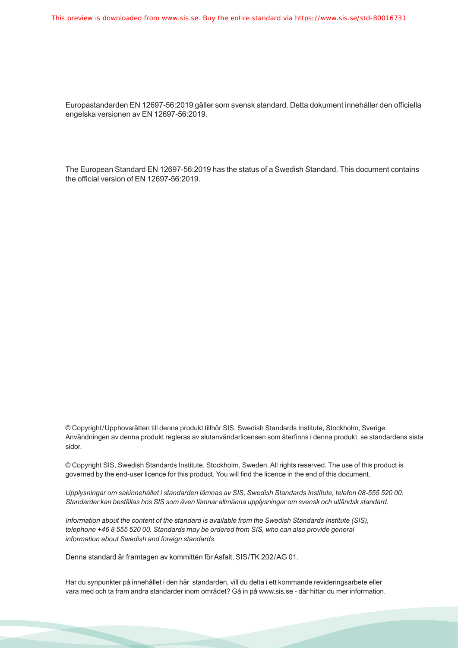Europastandarden EN 12697-56:2019 gäller som svensk standard. Detta dokument innehåller den officiella engelska versionen av EN 12697-56:2019.

The European Standard EN 12697-56:2019 has the status of a Swedish Standard. This document contains the official version of EN 12697-56:2019.

© Copyright / Upphovsrätten till denna produkt tillhör SIS, Swedish Standards Institute, Stockholm, Sverige. Användningen av denna produkt regleras av slutanvändarlicensen som återfinns i denna produkt, se standardens sista sidor.

© Copyright SIS, Swedish Standards Institute, Stockholm, Sweden. All rights reserved. The use of this product is governed by the end-user licence for this product. You will find the licence in the end of this document.

*Upplysningar om sakinnehållet i standarden lämnas av SIS, Swedish Standards Institute, telefon 08-555 520 00. Standarder kan beställas hos SIS som även lämnar allmänna upplysningar om svensk och utländsk standard.*

*Information about the content of the standard is available from the Swedish Standards Institute (SIS), telephone +46 8 555 520 00. Standards may be ordered from SIS, who can also provide general information about Swedish and foreign standards.*

Denna standard är framtagen av kommittén för Asfalt, SIS / TK 202 / AG 01.

Har du synpunkter på innehållet i den här standarden, vill du delta i ett kommande revideringsarbete eller vara med och ta fram andra standarder inom området? Gå in på www.sis.se - där hittar du mer information.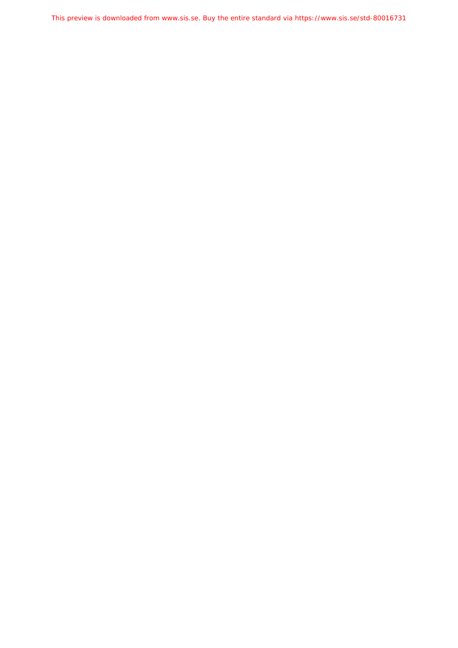This preview is downloaded from www.sis.se. Buy the entire standard via https://www.sis.se/std-80016731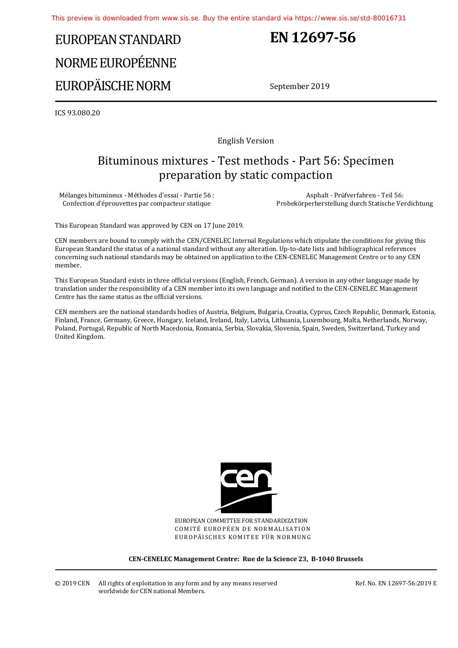# EUROPEAN STANDARD NORME EUROPÉENNE EUROPÄISCHE NORM

# **EN 12697-56**

September 2019

ICS 93.080.20

English Version

## Bituminous mixtures - Test methods - Part 56: Specimen preparation by static compaction

Mélanges bitumineux - Méthodes d'essai - Partie 56 : Confection d'éprouvettes par compacteur statique

 Asphalt - Prüfverfahren - Teil 56: Probekörperherstellung durch Statische Verdichtung

This European Standard was approved by CEN on 17 June 2019.

CEN members are bound to comply with the CEN/CENELEC Internal Regulations which stipulate the conditions for giving this European Standard the status of a national standard without any alteration. Up-to-date lists and bibliographical references concerning such national standards may be obtained on application to the CEN-CENELEC Management Centre or to any CEN member.

This European Standard exists in three official versions (English, French, German). A version in any other language made by translation under the responsibility of a CEN member into its own language and notified to the CEN-CENELEC Management Centre has the same status as the official versions.

CEN members are the national standards bodies of Austria, Belgium, Bulgaria, Croatia, Cyprus, Czech Republic, Denmark, Estonia, Finland, France, Germany, Greece, Hungary, Iceland, Ireland, Italy, Latvia, Lithuania, Luxembourg, Malta, Netherlands, Norway, Poland, Portugal, Republic of North Macedonia, Romania, Serbia, Slovakia, Slovenia, Spain, Sweden, Switzerland, Turkey and United Kingdom.



EUROPEAN COMMITTEE FOR STANDARDIZATION COMITÉ EUROPÉEN DE NORMALISATION EUROPÄISCHES KOMITEE FÜR NORMUNG

**CEN-CENELEC Management Centre: Rue de la Science 23, B-1040 Brussels** 

Ref. No. EN 12697-56:2019 E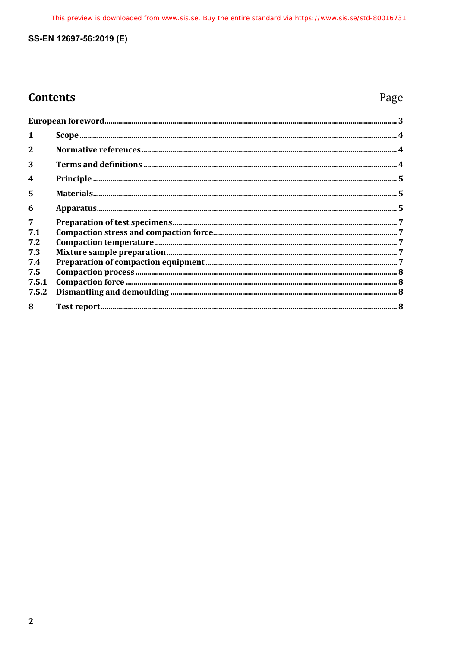## SS-EN 12697-56:2019 (E)

## **Contents**

# Page

| $\mathbf{1}$                                                        |  |  |
|---------------------------------------------------------------------|--|--|
| $\overline{\mathbf{2}}$                                             |  |  |
| 3                                                                   |  |  |
| $\boldsymbol{4}$                                                    |  |  |
| 5                                                                   |  |  |
| 6                                                                   |  |  |
| $\overline{7}$<br>7.1<br>7.2<br>7.3<br>7.4<br>7.5<br>7.5.1<br>7.5.2 |  |  |
| 8                                                                   |  |  |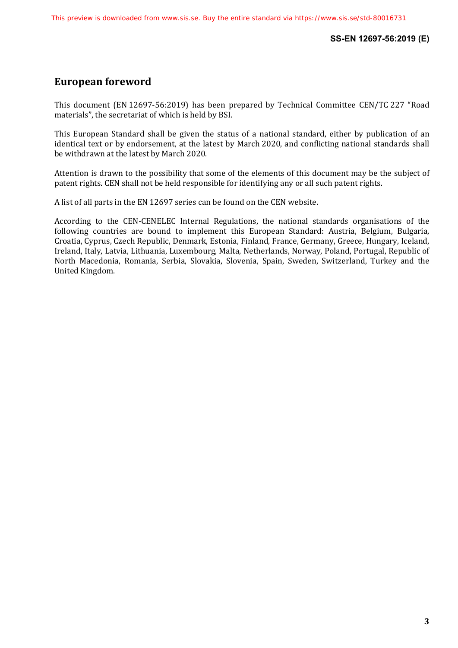## <span id="page-6-0"></span>**European foreword**

This document (EN 12697-56:2019) has been prepared by Technical Committee CEN/TC 227 "Road materials", the secretariat of which is held by BSI.

This European Standard shall be given the status of a national standard, either by publication of an identical text or by endorsement, at the latest by March 2020, and conflicting national standards shall be withdrawn at the latest by March 2020.

Attention is drawn to the possibility that some of the elements of this document may be the subject of patent rights. CEN shall not be held responsible for identifying any or all such patent rights.

A list of all parts in the EN 12697 series can be found on the CEN website.

According to the CEN-CENELEC Internal Regulations, the national standards organisations of the following countries are bound to implement this European Standard: Austria, Belgium, Bulgaria, Croatia, Cyprus, Czech Republic, Denmark, Estonia, Finland, France, Germany, Greece, Hungary, Iceland, Ireland, Italy, Latvia, Lithuania, Luxembourg, Malta, Netherlands, Norway, Poland, Portugal, Republic of North Macedonia, Romania, Serbia, Slovakia, Slovenia, Spain, Sweden, Switzerland, Turkey and the United Kingdom.